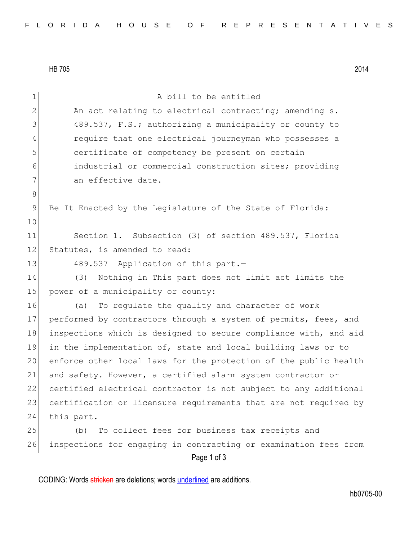HB 705 2014

| 1              | A bill to be entitled                                            |
|----------------|------------------------------------------------------------------|
| $\overline{2}$ | An act relating to electrical contracting; amending s.           |
| 3              | 489.537, F.S.; authorizing a municipality or county to           |
|                |                                                                  |
| 4              | require that one electrical journeyman who possesses a           |
| 5              | certificate of competency be present on certain                  |
| 6              | industrial or commercial construction sites; providing           |
| 7              | an effective date.                                               |
| 8              |                                                                  |
| 9              | Be It Enacted by the Legislature of the State of Florida:        |
| 10             |                                                                  |
| 11             | Section 1. Subsection (3) of section 489.537, Florida            |
| 12             | Statutes, is amended to read:                                    |
| 13             | 489.537 Application of this part.-                               |
| 14             | Nothing in This part does not limit act limits the<br>(3)        |
| 15             | power of a municipality or county:                               |
| 16             | To regulate the quality and character of work<br>(a)             |
| 17             | performed by contractors through a system of permits, fees, and  |
| 18             | inspections which is designed to secure compliance with, and aid |
| 19             | in the implementation of, state and local building laws or to    |
| 20             | enforce other local laws for the protection of the public health |
| 21             | and safety. However, a certified alarm system contractor or      |
| 22             | certified electrical contractor is not subject to any additional |
| 23             | certification or licensure requirements that are not required by |
| 24             | this part.                                                       |
| 25             | To collect fees for business tax receipts and<br>(b)             |
| 26             | inspections for engaging in contracting or examination fees from |
|                | Page 1 of 3                                                      |
|                |                                                                  |

CODING: Words stricken are deletions; words underlined are additions.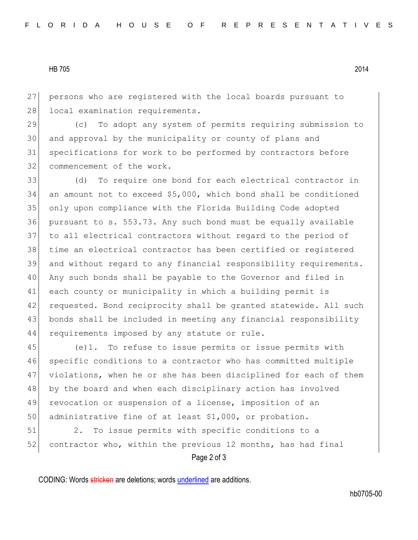## HB 705 2014

 persons who are registered with the local boards pursuant to 28 local examination requirements.

 (c) To adopt any system of permits requiring submission to and approval by the municipality or county of plans and specifications for work to be performed by contractors before commencement of the work.

 (d) To require one bond for each electrical contractor in an amount not to exceed \$5,000, which bond shall be conditioned only upon compliance with the Florida Building Code adopted pursuant to s. 553.73. Any such bond must be equally available to all electrical contractors without regard to the period of time an electrical contractor has been certified or registered and without regard to any financial responsibility requirements. Any such bonds shall be payable to the Governor and filed in each county or municipality in which a building permit is 42 requested. Bond reciprocity shall be granted statewide. All such bonds shall be included in meeting any financial responsibility 44 requirements imposed by any statute or rule.

 (e)1. To refuse to issue permits or issue permits with specific conditions to a contractor who has committed multiple violations, when he or she has been disciplined for each of them 48 by the board and when each disciplinary action has involved revocation or suspension of a license, imposition of an 50 administrative fine of at least \$1,000, or probation.

 2. To issue permits with specific conditions to a 52 contractor who, within the previous 12 months, has had final

Page 2 of 3

CODING: Words stricken are deletions; words underlined are additions.